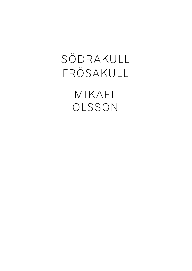## SÖDRAKULL FRÖSAKULL

MIKAEL OLSSON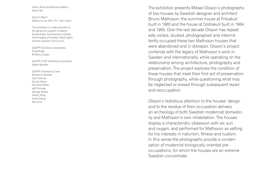Arthur Ross Architecture Gallery Buell Hall

April 8–May 5 Gallery hours: Mon–Fri, 12pm–6pm

The exhibition is made possible by the generous support of Galerie Nordenhake, the Swedish Institute, the Embassy of Sweden Washington and the Swedish Art Council.

GS APP Exhibitions Assistants: Greg Bugel Brittany Drapac

GS APP CCCP Exhibitions Assistant: Adam Bandler

GS APP Exhibitions Crew: Benjamin Brichta Zoe Florence Nicole Kotsis Nicholas Reiter Jeff Shiozaki George Valdes Sherry Yang Jodie Zhang Mia Zinni

The exhibition presents Mikael Olsson's photographs of two houses by Swedish designer and architect Bruno Mathsson: the summer house at Frösakull built in 1960 and the house at Södrakull built in 1964 and 1965. Over the last decade Olsson has repeat edly visited, studied, photographed and intermit tently occupied these two Mathsson houses that were abandoned and in disrepair. Olsson's project contends with the legacy of Mathsson's work in Sweden and internationally, while operating on the relationship among architecture, photography and preservation. The project explores the condition of these houses that meet their first act of preservation through photography, while questioning what may be neglected or erased through subsequent repair and reoccupation.<br>Olsson's fastidious attention to the houses' design

and to the residue of their occupation delivers an archeology of both Swedish modernist domestic ity and Mathsson's own inhabitation. The houses display a characteristic obsession with air, sun and oxygen, and performed for Mathsson as setting for his interests in naturism, fitness and nudism. In this sense the photographs provide a condensation of modernist biologically oriented preoccupations, for which the houses are an extreme Swedish concentrate.